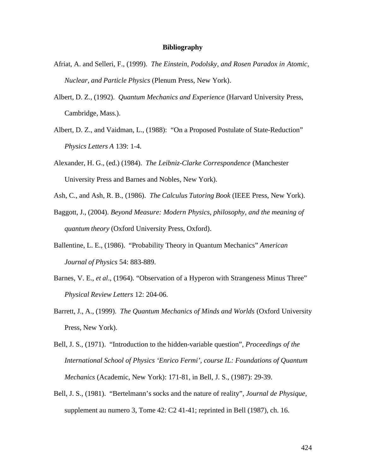## **Bibliography**

- Afriat, A. and Selleri, F., (1999). *The Einstein, Podolsky, and Rosen Paradox in Atomic, Nuclear, and Particle Physics* (Plenum Press, New York).
- Albert, D. Z., (1992). *Quantum Mechanics and Experience* (Harvard University Press, Cambridge, Mass.).
- Albert, D. Z., and Vaidman, L., (1988): "On a Proposed Postulate of State-Reduction" *Physics Letters A* 139: 1-4.
- Alexander, H. G., (ed.) (1984). *The Leibniz-Clarke Correspondence* (Manchester University Press and Barnes and Nobles, New York).
- Ash, C., and Ash, R. B., (1986). *The Calculus Tutoring Book* (IEEE Press, New York).
- Baggott, J., (2004). *Beyond Measure: Modern Physics, philosophy, and the meaning of quantum theory* (Oxford University Press, Oxford).
- Ballentine, L. E., (1986). "Probability Theory in Quantum Mechanics" *American Journal of Physics* 54: 883-889.
- Barnes, V. E., *et al.*, (1964). "Observation of a Hyperon with Strangeness Minus Three" *Physical Review Letters* 12: 204-06.
- Barrett, J., A., (1999). *The Quantum Mechanics of Minds and Worlds* (Oxford University Press, New York).
- Bell, J. S., (1971). "Introduction to the hidden-variable question", *Proceedings of the International School of Physics 'Enrico Fermi', course IL: Foundations of Quantum Mechanics* (Academic, New York): 171-81, in Bell, J. S., (1987): 29-39.
- Bell, J. S., (1981). "Bertelmann's socks and the nature of reality", *Journal de Physique,*  supplement au numero 3, Tome 42: C2 41-41; reprinted in Bell (1987), ch. 16.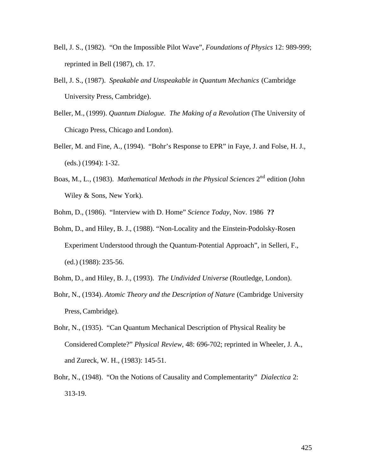- Bell, J. S., (1982). "On the Impossible Pilot Wave", *Foundations of Physics* 12: 989-999; reprinted in Bell (1987), ch. 17.
- Bell, J. S., (1987). *Speakable and Unspeakable in Quantum Mechanics* (Cambridge University Press, Cambridge).
- Beller, M., (1999). *Quantum Dialogue. The Making of a Revolution* (The University of Chicago Press, Chicago and London).
- Beller, M. and Fine, A., (1994). "Bohr's Response to EPR" in Faye, J. and Folse, H. J., (eds.) (1994): 1-32.
- Boas, M., L., (1983). *Mathematical Methods in the Physical Sciences* 2nd edition (John Wiley & Sons, New York).
- Bohm, D., (1986). "Interview with D. Home" *Science Today*, Nov. 1986 **??**
- Bohm, D., and Hiley, B. J., (1988). "Non-Locality and the Einstein-Podolsky-Rosen Experiment Understood through the Quantum-Potential Approach", in Selleri, F., (ed.) (1988): 235-56.
- Bohm, D., and Hiley, B. J., (1993). *The Undivided Universe* (Routledge, London).
- Bohr, N., (1934). *Atomic Theory and the Description of Nature* (Cambridge University Press, Cambridge).
- Bohr, N., (1935). "Can Quantum Mechanical Description of Physical Reality be Considered Complete?" *Physical Review*, 48: 696-702; reprinted in Wheeler, J. A., and Zureck, W. H., (1983): 145-51.
- Bohr, N., (1948). "On the Notions of Causality and Complementarity" *Dialectica* 2: 313-19.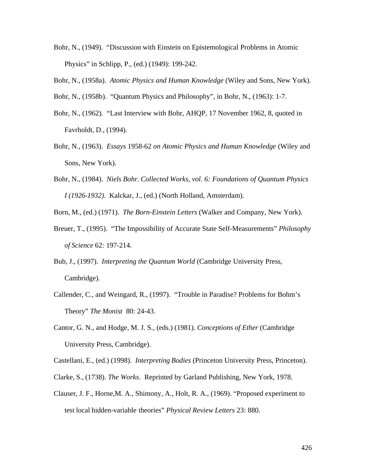Bohr, N., (1949). "Discussion with Einstein on Epistemological Problems in Atomic Physics" in Schlipp, P., (ed.) (1949): 199-242.

Bohr, N., (1958a). *Atomic Physics and Human Knowledge* (Wiley and Sons, New York).

- Bohr, N., (1958b). "Quantum Physics and Philosophy", in Bohr, N., (1963): 1-7.
- Bohr, N., (1962). "Last Interview with Bohr, AHQP, 17 November 1962, 8, quoted in Favrholdt, D., (1994).
- Bohr, N., (1963). *Essays* 1958-62 *on Atomic Physics and Human Knowledge* (Wiley and Sons, New York).
- Bohr, N., (1984). *Niels Bohr. Collected Works, vol. 6: Foundations of Quantum Physics I (1926-1932)*. Kalckar, J., (ed.) (North Holland, Amsterdam).

Born, M., (ed.) (1971). *The Born-Einstein Letters* (Walker and Company, New York).

- Breuer, T., (1995). "The Impossibility of Accurate State Self-Measurements" *Philosophy of Science* 62: 197-214.
- Bub, J., (1997). *Interpreting the Quantum World* (Cambridge University Press, Cambridge).
- Callender, C., and Weingard, R., (1997). "Trouble in Paradise? Problems for Bohm's Theory" *The Monist* 80: 24-43.
- Cantor, G. N., and Hodge, M. J. S., (eds.) (1981). *Conceptions of Ether* (Cambridge University Press, Cambridge).

Castellani, E., (ed.) (1998). *Interpreting Bodies* (Princeton University Press, Princeton).

- Clarke, S., (1738). *The Works*. Reprinted by Garland Publishing, New York, 1978.
- Clauser, J. F., Horne,M. A., Shimony, A., Holt, R. A., (1969). "Proposed experiment to test local hidden-variable theories" *Physical Review Letters* 23: 880.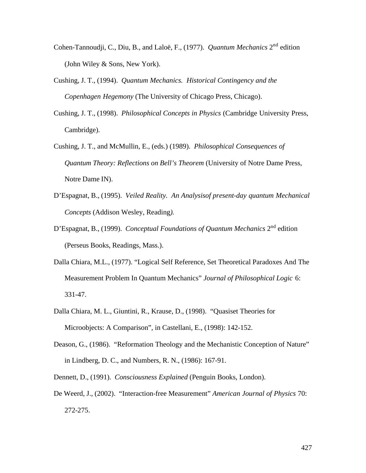- Cohen-Tannoudji, C., Diu, B., and Laloë, F., (1977). *Quantum Mechanics* 2nd edition (John Wiley & Sons, New York).
- Cushing, J. T., (1994). *Quantum Mechanics. Historical Contingency and the Copenhagen Hegemony* (The University of Chicago Press, Chicago).
- Cushing, J. T., (1998). *Philosophical Concepts in Physics* (Cambridge University Press, Cambridge).
- Cushing, J. T., and McMullin, E., (eds.) (1989). *Philosophical Consequences of Quantum Theory: Reflections on Bell's Theorem* (University of Notre Dame Press, Notre Dame IN).
- D'Espagnat, B., (1995). *Veiled Reality. An Analysisof present-day quantum Mechanical Concepts* (Addison Wesley, Reading*).*
- D'Espagnat, B., (1999). *Conceptual Foundations of Quantum Mechanics* 2<sup>nd</sup> edition (Perseus Books, Readings, Mass.).
- Dalla Chiara, M.L., (1977). "Logical Self Reference, Set Theoretical Paradoxes And The Measurement Problem In Quantum Mechanics" *Journal of Philosophical Logic* 6: 331-47.
- Dalla Chiara, M. L., Giuntini, R., Krause, D., (1998). "Quasiset Theories for Microobjects: A Comparison", in Castellani, E., (1998): 142-152.
- Deason, G., (1986). "Reformation Theology and the Mechanistic Conception of Nature" in Lindberg, D. C., and Numbers, R. N., (1986): 167-91.
- Dennett, D., (1991). *Consciousness Explained* (Penguin Books, London).
- De Weerd, J., (2002). "Interaction-free Measurement" *American Journal of Physics* 70: 272-275.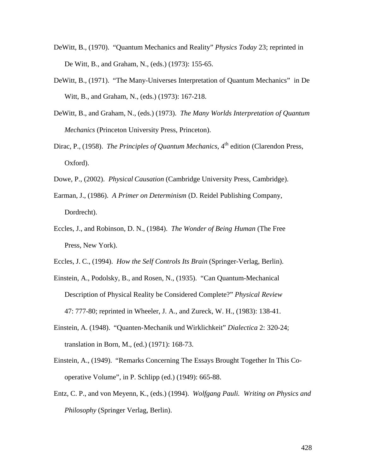- DeWitt, B., (1970). "Quantum Mechanics and Reality" *Physics Today* 23; reprinted in De Witt, B., and Graham, N., (eds.) (1973): 155-65.
- DeWitt, B., (1971). "The Many-Universes Interpretation of Quantum Mechanics" in De Witt, B., and Graham, N., (eds.) (1973): 167-218.
- DeWitt, B., and Graham, N., (eds.) (1973). *The Many Worlds Interpretation of Quantum Mechanics* (Princeton University Press, Princeton).
- Dirac, P., (1958). *The Principles of Quantum Mechanics*, 4<sup>th</sup> edition (Clarendon Press, Oxford).
- Dowe, P., (2002). *Physical Causation* (Cambridge University Press, Cambridge).
- Earman, J., (1986). *A Primer on Determinism* (D. Reidel Publishing Company, Dordrecht).
- Eccles, J., and Robinson, D. N., (1984). *The Wonder of Being Human* (The Free Press, New York).
- Eccles, J. C., (1994). *How the Self Controls Its Brain* (Springer-Verlag, Berlin).
- Einstein, A., Podolsky, B., and Rosen, N., (1935). "Can Quantum-Mechanical Description of Physical Reality be Considered Complete?" *Physical Review* 47: 777-80; reprinted in Wheeler, J. A., and Zureck, W. H., (1983): 138-41.
- Einstein, A. (1948). "Quanten-Mechanik und Wirklichkeit" *Dialectica* 2: 320-24; translation in Born, M., (ed.) (1971): 168-73.
- Einstein, A., (1949). "Remarks Concerning The Essays Brought Together In This Cooperative Volume", in P. Schlipp (ed.) (1949): 665-88.
- Entz, C. P., and von Meyenn, K., (eds.) (1994). *Wolfgang Pauli. Writing on Physics and Philosophy* (Springer Verlag, Berlin).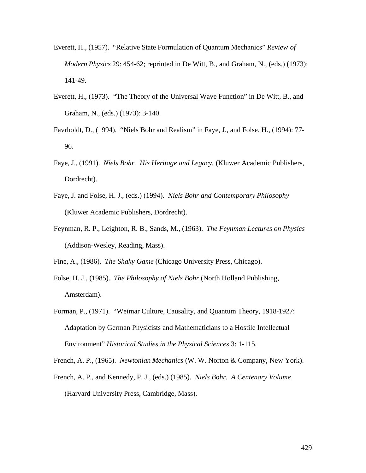- Everett, H., (1957). "Relative State Formulation of Quantum Mechanics" *Review of Modern Physics* 29: 454-62; reprinted in De Witt, B., and Graham, N., (eds.) (1973): 141-49.
- Everett, H., (1973). "The Theory of the Universal Wave Function" in De Witt, B., and Graham, N., (eds.) (1973): 3-140.
- Favrholdt, D., (1994). "Niels Bohr and Realism" in Faye, J., and Folse, H., (1994): 77- 96.
- Faye, J., (1991). *Niels Bohr. His Heritage and Legacy.* (Kluwer Academic Publishers, Dordrecht).
- Faye, J. and Folse, H. J., (eds.) (1994). *Niels Bohr and Contemporary Philosophy* (Kluwer Academic Publishers, Dordrecht).
- Feynman, R. P., Leighton, R. B., Sands, M., (1963). *The Feynman Lectures on Physics* (Addison-Wesley, Reading, Mass).

Fine, A., (1986). *The Shaky Game* (Chicago University Press, Chicago).

- Folse, H. J., (1985). *The Philosophy of Niels Bohr* (North Holland Publishing, Amsterdam).
- Forman, P., (1971). "Weimar Culture, Causality, and Quantum Theory, 1918-1927: Adaptation by German Physicists and Mathematicians to a Hostile Intellectual Environment" *Historical Studies in the Physical Sciences* 3: 1-115.

French, A. P., (1965). *Newtonian Mechanics* (W. W. Norton & Company, New York).

French, A. P., and Kennedy, P. J., (eds.) (1985). *Niels Bohr. A Centenary Volume* (Harvard University Press, Cambridge, Mass).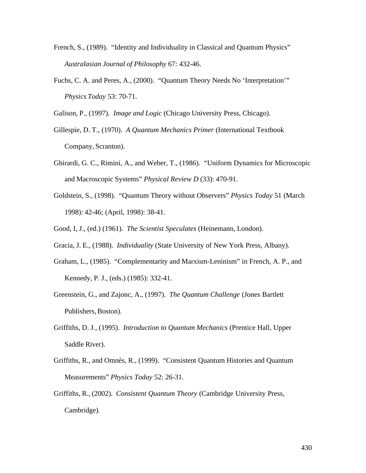- French, S., (1989). "Identity and Individuality in Classical and Quantum Physics" *Australasian Journal of Philosophy* 67: 432-46.
- Fuchs, C. A. and Peres, A., (2000). "Quantum Theory Needs No 'Interpretation'" *Physics Today* 53: 70-71.

Galison, P., (1997). *Image and Logic* (Chicago University Press, Chicago).

- Gillespie, D. T., (1970). *A Quantum Mechanics Primer* (International Textbook Company, Scranton).
- Ghirardi, G. C., Rimini, A., and Weber, T., (1986). "Uniform Dynamics for Microscopic and Macroscopic Systems" *Physical Review D* (33): 470-91.
- Goldstein, S., (1998). "Quantum Theory without Observers" *Physics Today* 51 (March 1998): 42-46; (April, 1998): 38-41.
- Good, I, J., (ed.) (1961). *The Scientist Speculates* (Heinemann, London).
- Gracia, J. E., (1988). *Individuality* (State University of New York Press, Albany).
- Graham, L., (1985). "Complementarity and Marxism-Leninism" in French, A. P., and Kennedy, P. J., (eds.) (1985): 332-41.
- Greenstein, G., and Zajonc, A., (1997). *The Quantum Challenge* (Jones Bartlett Publishers, Boston).
- Griffiths, D. J., (1995). *Introduction to Quantum Mechanics* (Prentice Hall, Upper Saddle River).
- Griffiths, R., and Omnès, R., (1999). "Consistent Quantum Histories and Quantum Measurements" *Physics Today* 52: 26-31.
- Griffiths, R., (2002). *Consistent Quantum Theory* (Cambridge University Press, Cambridge).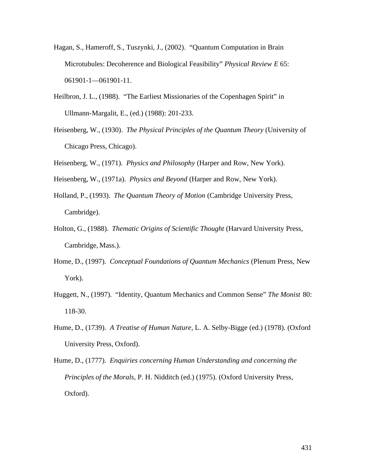- Hagan, S., Hameroff, S., Tuszynki, J., (2002). "Quantum Computation in Brain Microtubules: Decoherence and Biological Feasibility" *Physical Review E* 65: 061901-1—061901-11.
- Heilbron, J. L., (1988). "The Earliest Missionaries of the Copenhagen Spirit" in Ullmann-Margalit, E., (ed.) (1988): 201-233.
- Heisenberg, W., (1930). *The Physical Principles of the Quantum Theory* (University of Chicago Press, Chicago).
- Heisenberg, W., (1971). *Physics and Philosophy* (Harper and Row, New York).
- Heisenberg, W., (1971a). *Physics and Beyond* (Harper and Row, New York).
- Holland, P., (1993). *The Quantum Theory of Motion* (Cambridge University Press, Cambridge).
- Holton, G., (1988). *Thematic Origins of Scientific Thought* (Harvard University Press, Cambridge, Mass.).
- Home, D., (1997). *Conceptual Foundations of Quantum Mechanics* (Plenum Press, New York).
- Huggett, N., (1997). "Identity, Quantum Mechanics and Common Sense" *The Monist* 80: 118-30.
- Hume, D., (1739). *A Treatise of Human Nature,* L. A. Selby-Bigge (ed.) (1978). (Oxford University Press, Oxford).
- Hume, D., (1777). *Enquiries concerning Human Understanding and concerning the Principles of the Morals,* P. H. Nidditch (ed.) (1975). (Oxford University Press, Oxford).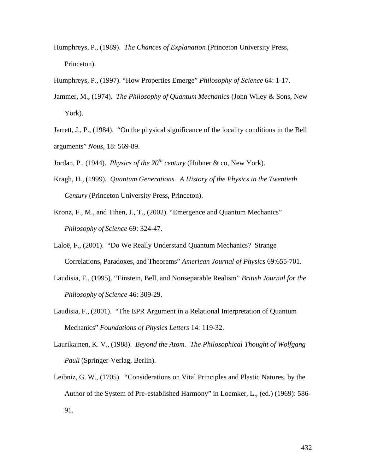- Humphreys, P., (1989). *The Chances of Explanation* (Princeton University Press, Princeton).
- Humphreys, P., (1997). "How Properties Emerge" *Philosophy of Science* 64: 1-17.
- Jammer, M., (1974). *The Philosophy of Quantum Mechanics* (John Wiley & Sons, New York).
- Jarrett, J., P., (1984). "On the physical significance of the locality conditions in the Bell arguments" *Nous*, 18: 569-89.
- Jordan, P., (1944). *Physics of the 20th century* (Hubner & co, New York).
- Kragh, H., (1999). *Quantum Generations. A History of the Physics in the Twentieth Century* (Princeton University Press, Princeton).
- Kronz, F., M., and Tihen, J., T., (2002). "Emergence and Quantum Mechanics" *Philosophy of Science* 69: 324-47.
- Laloë, F., (2001). "Do We Really Understand Quantum Mechanics? Strange Correlations, Paradoxes, and Theorems" *American Journal of Physics* 69:655-701.
- Laudisia, F., (1995). "Einstein, Bell, and Nonseparable Realism" *British Journal for the Philosophy of Science* 46: 309-29.
- Laudisia, F., (2001). "The EPR Argument in a Relational Interpretation of Quantum Mechanics" *Foundations of Physics Letters* 14: 119-32.
- Laurikainen, K. V., (1988). *Beyond the Atom. The Philosophical Thought of Wolfgang Pauli* (Springer-Verlag, Berlin).
- Leibniz, G. W., (1705). "Considerations on Vital Principles and Plastic Natures, by the Author of the System of Pre-established Harmony" in Loemker, L., (ed.) (1969): 586- 91.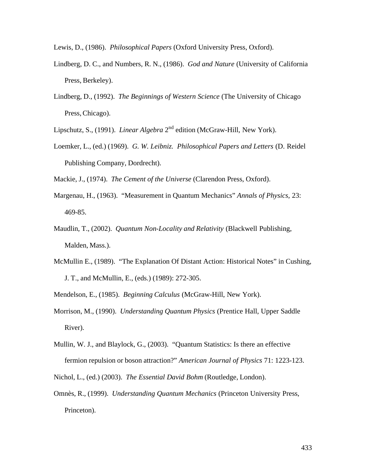- Lewis, D., (1986). *Philosophical Papers* (Oxford University Press, Oxford).
- Lindberg, D. C., and Numbers, R. N., (1986). *God and Nature* (University of California Press, Berkeley).
- Lindberg, D., (1992). *The Beginnings of Western Science* (The University of Chicago Press, Chicago).
- Lipschutz, S., (1991). *Linear Algebra* 2<sup>nd</sup> edition (McGraw-Hill, New York).
- Loemker, L., (ed.) (1969). *G. W. Leibniz. Philosophical Papers and Letters* (D. Reidel Publishing Company, Dordrecht).

Mackie, J., (1974). *The Cement of the Universe* (Clarendon Press, Oxford).

- Margenau, H., (1963). "Measurement in Quantum Mechanics" *Annals of Physics*, 23: 469-85.
- Maudlin, T., (2002). *Quantum Non-Locality and Relativity* (Blackwell Publishing, Malden, Mass.).
- McMullin E., (1989). "The Explanation Of Distant Action: Historical Notes" in Cushing, J. T., and McMullin, E., (eds.) (1989): 272-305.
- Mendelson, E., (1985). *Beginning Calculus* (McGraw-Hill, New York).
- Morrison, M., (1990). *Understanding Quantum Physics* (Prentice Hall, Upper Saddle River).
- Mullin, W. J., and Blaylock, G., (2003). "Quantum Statistics: Is there an effective fermion repulsion or boson attraction?" *American Journal of Physics* 71: 1223-123.
- Nichol, L., (ed.) (2003). *The Essential David Bohm* (Routledge, London).
- Omnès, R., (1999). *Understanding Quantum Mechanics* (Princeton University Press, Princeton).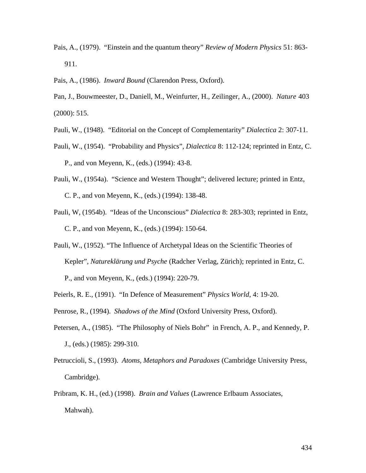Pais, A., (1979). "Einstein and the quantum theory" *Review of Modern Physics* 51: 863- 911.

Pais, A., (1986). *Inward Bound* (Clarendon Press, Oxford).

- Pan, J., Bouwmeester, D., Daniell, M., Weinfurter, H., Zeilinger, A., (2000). *Nature* 403 (2000): 515.
- Pauli, W., (1948). "Editorial on the Concept of Complementarity" *Dialectica* 2: 307-11.
- Pauli, W., (1954). "Probability and Physics", *Dialectica* 8: 112-124; reprinted in Entz, C. P., and von Meyenn, K., (eds.) (1994): 43-8.
- Pauli, W., (1954a). "Science and Western Thought"; delivered lecture; printed in Entz, C. P., and von Meyenn, K., (eds.) (1994): 138-48.
- Pauli, W, (1954b). "Ideas of the Unconscious" *Dialectica* 8: 283-303; reprinted in Entz, C. P., and von Meyenn, K., (eds.) (1994): 150-64.
- Pauli, W., (1952). "The Influence of Archetypal Ideas on the Scientific Theories of Kepler", *Natureklärung und Psyche* (Radcher Verlag, Zürich); reprinted in Entz, C. P., and von Meyenn, K., (eds.) (1994): 220-79.
- Peierls, R. E., (1991). "In Defence of Measurement" *Physics World*, 4: 19-20.
- Penrose, R., (1994). *Shadows of the Mind* (Oxford University Press, Oxford).
- Petersen, A., (1985). "The Philosophy of Niels Bohr" in French, A. P., and Kennedy, P. J., (eds.) (1985): 299-310.
- Petruccioli, S., (1993). *Atoms, Metaphors and Paradoxes* (Cambridge University Press, Cambridge).
- Pribram, K. H., (ed.) (1998). *Brain and Values* (Lawrence Erlbaum Associates, Mahwah).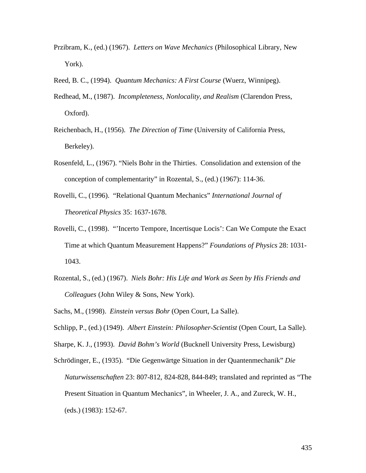- Przibram, K., (ed.) (1967). *Letters on Wave Mechanics* (Philosophical Library, New York).
- Reed, B. C., (1994). *Quantum Mechanics: A First Course* (Wuerz, Winnipeg).
- Redhead, M., (1987). *Incompleteness, Nonlocality, and Realism* (Clarendon Press, Oxford).
- Reichenbach, H., (1956). *The Direction of Time* (University of California Press, Berkeley).
- Rosenfeld, L., (1967). "Niels Bohr in the Thirties. Consolidation and extension of the conception of complementarity" in Rozental, S., (ed.) (1967): 114-36.
- Rovelli, C., (1996). "Relational Quantum Mechanics" *International Journal of Theoretical Physics* 35: 1637-1678.
- Rovelli, C., (1998). "'Incerto Tempore, Incertisque Locis': Can We Compute the Exact Time at which Quantum Measurement Happens?" *Foundations of Physics* 28: 1031- 1043.
- Rozental, S., (ed.) (1967). *Niels Bohr: His Life and Work as Seen by His Friends and Colleagues* (John Wiley & Sons, New York).
- Sachs, M., (1998). *Einstein versus Bohr* (Open Court, La Salle).

Schlipp, P., (ed.) (1949). *Albert Einstein: Philosopher-Scientist* (Open Court, La Salle).

Sharpe, K. J., (1993). *David Bohm's World* (Bucknell University Press, Lewisburg)

Schrödinger, E., (1935). "Die Gegenwärtge Situation in der Quantenmechanik" *Die Naturwissenschaften* 23: 807-812, 824-828, 844-849; translated and reprinted as "The Present Situation in Quantum Mechanics", in Wheeler, J. A., and Zureck, W. H., (eds.) (1983): 152-67.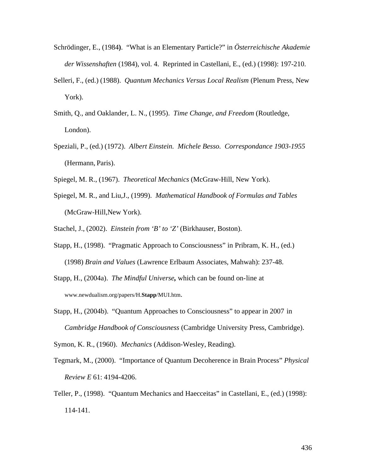- Schrödinger, E., (1984**)**. "What is an Elementary Particle?" in *Österreichische Akademie der Wissenshaften* (1984), vol. 4. Reprinted in Castellani, E., (ed.) (1998): 197-210.
- Selleri, F., (ed.) (1988). *Quantum Mechanics Versus Local Realism* (Plenum Press, New York).
- Smith, Q., and Oaklander, L. N., (1995). *Time Change, and Freedom* (Routledge, London).
- Speziali, P., (ed.) (1972). *Albert Einstein. Michele Besso. Correspondance 1903-1955* (Hermann, Paris).
- Spiegel, M. R., (1967). *Theoretical Mechanics* (McGraw-Hill, New York).
- Spiegel, M. R., and Liu,J., (1999). *Mathematical Handbook of Formulas and Tables* (McGraw-Hill,New York).
- Stachel, J., (2002). *Einstein from 'B' to 'Z'* (Birkhauser, Boston).
- Stapp, H., (1998). "Pragmatic Approach to Consciousness" in Pribram, K. H., (ed.) (1998) *Brain and Values* (Lawrence Erlbaum Associates, Mahwah): 237-48.
- Stapp, H., (2004a). *The Mindful Universe,* which can be found on-line at www.newdualism.org/papers/H.**Stapp**/MUI.htm.
- Stapp, H., (2004b). "Quantum Approaches to Consciousness" to appear in 2007 in *Cambridge Handbook of Consciousness* (Cambridge University Press, Cambridge).

Symon, K. R., (1960). *Mechanics* (Addison-Wesley, Reading).

- Tegmark, M., (2000). "Importance of Quantum Decoherence in Brain Process" *Physical Review E* 61: 4194-4206.
- Teller, P., (1998). "Quantum Mechanics and Haecceitas" in Castellani, E., (ed.) (1998): 114-141.